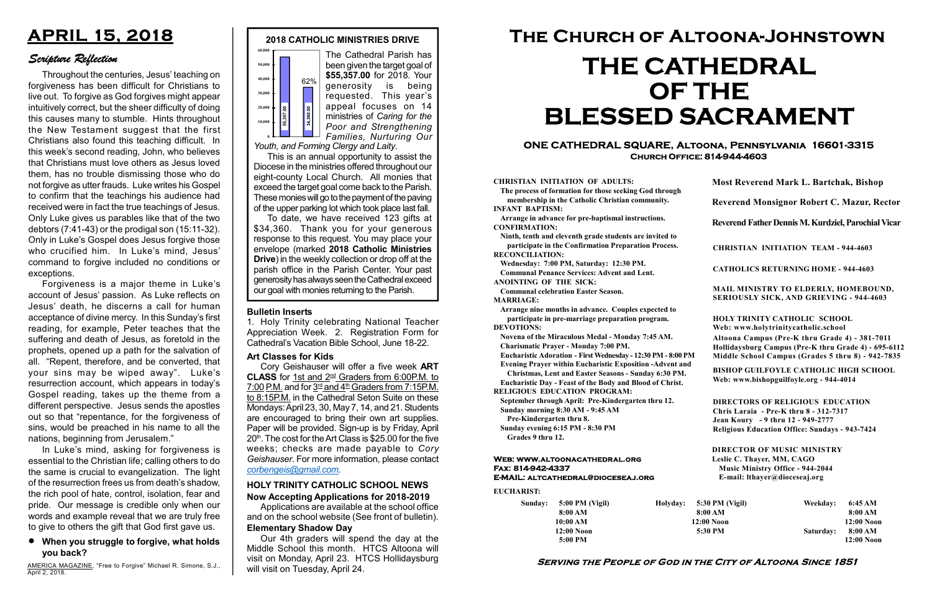#### Serving the People of God in the City of Altoona Since 1851

Sunday: 5:00 PM (Vigil) 8:00 AM 10:00 AM 12:00 Noon 5:00 PM

Holyday:

#### Web: www.altoonacathedral.org Fax: 814-942-4337 E-MAIL: altcathedral@dioceseaj.org

EUCHARIST:

#### CHRISTIAN INITIATION OF ADULTS:

The process of formation for those seeking God through membership in the Catholic Christian community. INFANT BAPTISM:

Arrange in advance for pre-baptismal instructions. CONFIRMATION:

Ninth, tenth and eleventh grade students are invited to participate in the Confirmation Preparation Process. RECONCILIATION:

Wednesday: 7:00 PM, Saturday: 12:30 PM. Communal Penance Services: Advent and Lent.

ANOINTING OF THE SICK:

Communal celebration Easter Season. MARRIAGE:

Arrange nine months in advance. Couples expected to participate in pre-marriage preparation program. DEVOTIONS:

Novena of the Miraculous Medal - Monday 7:45 AM.

Charismatic Prayer - Monday 7:00 PM. Eucharistic Adoration - First Wednesday - 12:30 PM - 8:00 PM

Evening Prayer within Eucharistic Exposition -Advent and

Christmas, Lent and Easter Seasons - Sunday 6:30 PM. Eucharistic Day - Feast of the Body and Blood of Christ.

|                       | <b>Most Reverend Mark L. Bartchak, Bishop</b><br>Reverend Monsignor Robert C. Mazur, Rector                                                                                     |           |                         |
|-----------------------|---------------------------------------------------------------------------------------------------------------------------------------------------------------------------------|-----------|-------------------------|
|                       |                                                                                                                                                                                 |           |                         |
|                       | Reverend Father Dennis M. Kurdziel, Parochial Vicar                                                                                                                             |           |                         |
|                       | <b>CHRISTIAN INITIATION TEAM - 944-4603</b>                                                                                                                                     |           |                         |
|                       | <b>CATHOLICS RETURNING HOME - 944-4603</b>                                                                                                                                      |           |                         |
|                       | MAIL MINISTRY TO ELDERLY, HOMEBOUND,<br>SERIOUSLY SICK, AND GRIEVING - 944-4603                                                                                                 |           |                         |
|                       | <b>HOLY TRINITY CATHOLIC SCHOOL</b><br>Web: www.holytrinitycatholic.school                                                                                                      |           |                         |
| М                     | Altoona Campus (Pre-K thru Grade 4) - 381-7011<br>Hollidaysburg Campus (Pre-K thru Grade 4) - 695-6112<br>Middle School Campus (Grades 5 thru 8) - 942-7835                     |           |                         |
| ł                     | <b>BISHOP GUILFOYLE CATHOLIC HIGH SCHOOL</b><br>Web: www.bishopguilfoyle.org - 944-4014                                                                                         |           |                         |
|                       | <b>DIRECTORS OF RELIGIOUS EDUCATION</b><br>Chris Laraia - Pre-K thru 8 - 312-7317<br>Jean Koury - 9 thru 12 - 949-2777<br><b>Religious Education Office: Sundays - 943-7424</b> |           |                         |
|                       | <b>DIRECTOR OF MUSIC MINISTRY</b><br>Leslie C. Thayer, MM, CAGO<br><b>Music Ministry Office - 944-2044</b><br>E-mail: lthayer@dioceseaj.org                                     |           |                         |
| 5:30 PM (Vigil)       |                                                                                                                                                                                 | Weekday:  | 6:45 AM                 |
| 8:00 AM<br>12:00 Noon |                                                                                                                                                                                 |           | 8:00 AM<br>12:00 Noon   |
| 5:30 PM               |                                                                                                                                                                                 | Saturday: | 8:00 AM<br>$12:00$ Noon |
|                       |                                                                                                                                                                                 |           |                         |

RELIGIOUS EDUCATION PROGRAM:

September through April: Pre-Kindergarten thru 12. Sunday morning 8:30 AM - 9:45 AM

Pre-Kindergarten thru 8.

Sunday evening 6:15 PM - 8:30 PM Grades 9 thru 12.

#### ONE CATHEDRAL SQUARE, Altoona, Pennsylvania 16601-3315 Church Office: 814-944-4603

# The Church of Altoona-Johnstown THE CATHEDRAL OF THE BLESSED SACRAMENT

#### Now Accepting Applications for 2018-2019 HOLY TRINITY CATHOLIC SCHOOL NEWS

Applications are available at the school office and on the school website (See front of bulletin). Elementary Shadow Day

Our 4th graders will spend the day at the Middle School this month. HTCS Altoona will visit on Monday, April 23. HTCS Hollidaysburg will visit on Tuesday, April 24.

## APRIL 15, 2018

### Scripture Reflection

#### When you struggle to forgive, what holds you back?

To date, we have received 123 gifts at \$34,360. Thank you for your generous response to this request. You may place your envelope (marked 2018 Catholic Ministries Drive) in the weekly collection or drop off at the parish office in the Parish Center. Your past generosity has always seen the Cathedral exceed our goal with monies returning to the Parish. **Example the diffuse of Cathedral School, June 18-22.**<br>
This is an annual opportunity to assist the Diocese in the ministries of Caring for the Families, Nurturing Our Youth, and Forming Clergy and Laity.<br>
This is an annu

1. Holy Trinity celebrating National Teacher Appreciation Week. 2. Registration Form for Cathedral's Vacation Bible School, June 18-22.

Throughout the centuries, Jesus' teaching on forgiveness has been difficult for Christians to live out. To forgive as God forgives might appear intuitively correct, but the sheer difficulty of doing this causes many to stumble. Hints throughout the New Testament suggest that the first Christians also found this teaching difficult. In this week's second reading, John, who believes that Christians must love others as Jesus loved them, has no trouble dismissing those who do not forgive as utter frauds. Luke writes his Gospel to confirm that the teachings his audience had received were in fact the true teachings of Jesus. Only Luke gives us parables like that of the two debtors (7:41-43) or the prodigal son (15:11-32). Only in Luke's Gospel does Jesus forgive those who crucified him. In Luke's mind, Jesus' command to forgive included no conditions or exceptions.

Forgiveness is a major theme in Luke's account of Jesus' passion. As Luke reflects on Jesus' death, he discerns a call for human acceptance of divine mercy. In this Sunday's first reading, for example, Peter teaches that the suffering and death of Jesus, as foretold in the prophets, opened up a path for the salvation of all. "Repent, therefore, and be converted, that your sins may be wiped away". Luke's resurrection account, which appears in today's Gospel reading, takes up the theme from a different perspective. Jesus sends the apostles out so that "repentance, for the forgiveness of sins, would be preached in his name to all the nations, beginning from Jerusalem."

In Luke's mind, asking for forgiveness is essential to the Christian life; calling others to do the same is crucial to evangelization. The light of the resurrection frees us from death's shadow, the rich pool of hate, control, isolation, fear and pride. Our message is credible only when our words and example reveal that we are truly free to give to others the gift that God first gave us.

AMERICA MAGAZINE, "Free to Forgive" Michael R. Simone, S.J., April 2, 2018.

#### Art Classes for Kids

Cory Geishauser will offer a five week ART CLASS for 1st and 2nd Graders from 6:00P.M. to 7:00 P.M. and for  $3<sup>rd</sup>$  and  $4<sup>th</sup>$  Graders from 7:15P.M. to 8:15P.M. in the Cathedral Seton Suite on these Mondays: April 23, 30, May 7, 14, and 21. Students are encouraged to bring their own art supplies. Paper will be provided. Sign-up is by Friday, April 20<sup>th</sup>. The cost for the Art Class is \$25.00 for the five weeks; checks are made payable to Cory Geishauser. For more information, please contact corbengeis@gmail.com.

2018 CATHOLIC MINISTRIES DRIVE

The Cathedral Parish has



been given the target goal of \$55,357.00 for 2018. Your generosity is being requested. This year's appeal focuses on 14 ministries of Caring for the Poor and Strengthening Families, Nurturing Our

Youth, and Forming Clergy and Laity.

This is an annual opportunity to assist the Diocese in the ministries offered throughout our eight-county Local Church. All monies that exceed the target goal come back to the Parish. These monies will go to the payment of the paving of the upper parking lot which took place last fall.

#### Bulletin Inserts